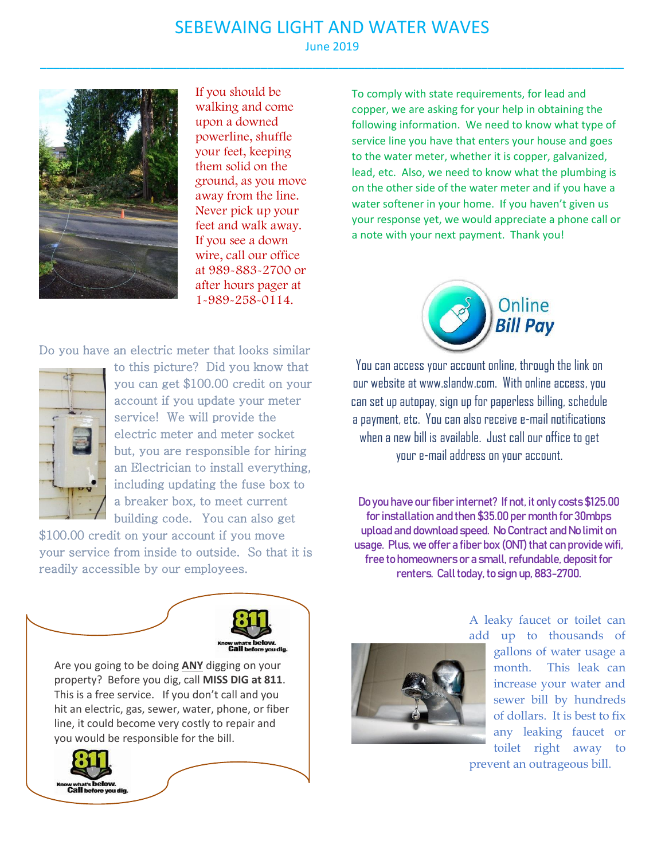## SEBEWAING LIGHT AND WATER WAVES

June 2019 \_\_\_\_\_\_\_\_\_\_\_\_\_\_\_\_\_\_\_\_\_\_\_\_\_\_\_\_\_\_\_\_\_\_\_\_\_\_\_\_\_\_\_\_\_\_\_\_\_\_\_\_\_\_\_\_\_\_\_\_\_\_\_\_\_\_\_\_\_\_\_\_\_\_\_\_\_\_\_\_\_\_\_\_\_\_\_\_\_\_



If you should be walking and come upon a downed powerline, shuffle your feet, keeping them solid on the ground, as you move away from the line. Never pick up your feet and walk away. If you see a down wire, call our office at 989-883-2700 or after hours pager at 1-989-258-0114.

To comply with state requirements, for lead and copper, we are asking for your help in obtaining the following information. We need to know what type of service line you have that enters your house and goes to the water meter, whether it is copper, galvanized, lead, etc. Also, we need to know what the plumbing is on the other side of the water meter and if you have a water softener in your home. If you haven't given us your response yet, we would appreciate a phone call or a note with your next payment. Thank you!



You can access your account online, through the link on our website at www.slandw.com. With online access, you can set up autopay, sign up for paperless billing, schedule a payment, etc. You can also receive e-mail notifications when a new bill is available. Just call our office to get your e-mail address on your account.

Do you have our fiber internet? If not, it only costs \$125.00 for installation and then \$35.00 per month for 30mbps upload and download speed. No Contract and No limit on usage. Plus, we offer a fiber box (ONT) that can provide wifi, free to homeowners or a small, refundable, deposit for renters. Call today, to sign up, 883-2700.



A leaky faucet or toilet can add up to thousands of gallons of water usage a month. This leak can increase your water and sewer bill by hundreds of dollars. It is best to fix any leaking faucet or toilet right away to prevent an outrageous bill.

Do you have an electric meter that looks similar



you can get \$100.00 credit on your account if you update your meter service! We will provide the electric meter and meter socket but, you are responsible for hiring an Electrician to install everything, including updating the fuse box to a breaker box, to meet current building code.You can also get

to this picture? Did you know that

\$100.00 credit on your account if you move your service from inside to outside. So that it is readily accessible by our employees.